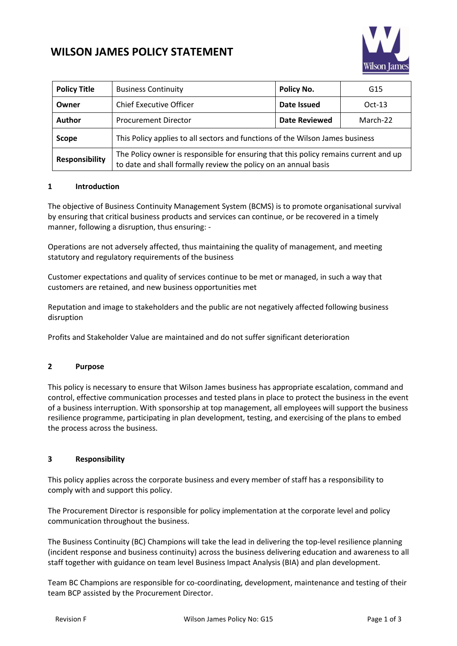

# **WILSON JAMES POLICY STATEMENT**

| <b>Policy Title</b>   | <b>Business Continuity</b>                                                                                                                              | Policy No.           | G15      |
|-----------------------|---------------------------------------------------------------------------------------------------------------------------------------------------------|----------------------|----------|
| Owner                 | <b>Chief Executive Officer</b>                                                                                                                          | Date Issued          | $Oct-13$ |
| <b>Author</b>         | <b>Procurement Director</b>                                                                                                                             | <b>Date Reviewed</b> | March-22 |
| <b>Scope</b>          | This Policy applies to all sectors and functions of the Wilson James business                                                                           |                      |          |
| <b>Responsibility</b> | The Policy owner is responsible for ensuring that this policy remains current and up<br>to date and shall formally review the policy on an annual basis |                      |          |

## **1 Introduction**

The objective of Business Continuity Management System (BCMS) is to promote organisational survival by ensuring that critical business products and services can continue, or be recovered in a timely manner, following a disruption, thus ensuring: -

Operations are not adversely affected, thus maintaining the quality of management, and meeting statutory and regulatory requirements of the business

Customer expectations and quality of services continue to be met or managed, in such a way that customers are retained, and new business opportunities met

Reputation and image to stakeholders and the public are not negatively affected following business disruption

Profits and Stakeholder Value are maintained and do not suffer significant deterioration

## **2 Purpose**

This policy is necessary to ensure that Wilson James business has appropriate escalation, command and control, effective communication processes and tested plans in place to protect the business in the event of a business interruption. With sponsorship at top management, all employees will support the business resilience programme, participating in plan development, testing, and exercising of the plans to embed the process across the business.

## **3 Responsibility**

This policy applies across the corporate business and every member of staff has a responsibility to comply with and support this policy.

The Procurement Director is responsible for policy implementation at the corporate level and policy communication throughout the business.

The Business Continuity (BC) Champions will take the lead in delivering the top-level resilience planning (incident response and business continuity) across the business delivering education and awareness to all staff together with guidance on team level Business Impact Analysis (BIA) and plan development.

Team BC Champions are responsible for co-coordinating, development, maintenance and testing of their team BCP assisted by the Procurement Director.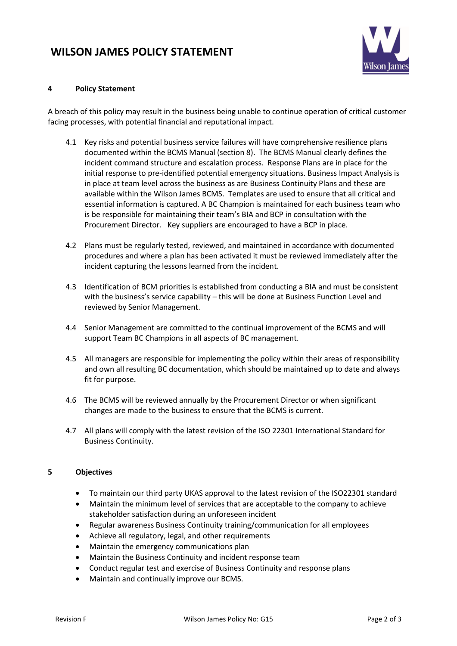## **WILSON JAMES POLICY STATEMENT**



## **4 Policy Statement**

A breach of this policy may result in the business being unable to continue operation of critical customer facing processes, with potential financial and reputational impact.

- 4.1 Key risks and potential business service failures will have comprehensive resilience plans documented within the BCMS Manual (section 8). The BCMS Manual clearly defines the incident command structure and escalation process. Response Plans are in place for the initial response to pre-identified potential emergency situations. Business Impact Analysis is in place at team level across the business as are Business Continuity Plans and these are available within the Wilson James BCMS. Templates are used to ensure that all critical and essential information is captured. A BC Champion is maintained for each business team who is be responsible for maintaining their team's BIA and BCP in consultation with the Procurement Director. Key suppliers are encouraged to have a BCP in place.
- 4.2 Plans must be regularly tested, reviewed, and maintained in accordance with documented procedures and where a plan has been activated it must be reviewed immediately after the incident capturing the lessons learned from the incident.
- 4.3 Identification of BCM priorities is established from conducting a BIA and must be consistent with the business's service capability – this will be done at Business Function Level and reviewed by Senior Management.
- 4.4 Senior Management are committed to the continual improvement of the BCMS and will support Team BC Champions in all aspects of BC management.
- 4.5 All managers are responsible for implementing the policy within their areas of responsibility and own all resulting BC documentation, which should be maintained up to date and always fit for purpose.
- 4.6 The BCMS will be reviewed annually by the Procurement Director or when significant changes are made to the business to ensure that the BCMS is current.
- 4.7 All plans will comply with the latest revision of the ISO 22301 International Standard for Business Continuity.

## **5 Objectives**

- To maintain our third party UKAS approval to the latest revision of the ISO22301 standard
- Maintain the minimum level of services that are acceptable to the company to achieve stakeholder satisfaction during an unforeseen incident
- Regular awareness Business Continuity training/communication for all employees
- Achieve all regulatory, legal, and other requirements
- Maintain the emergency communications plan
- Maintain the Business Continuity and incident response team
- Conduct regular test and exercise of Business Continuity and response plans
- Maintain and continually improve our BCMS.